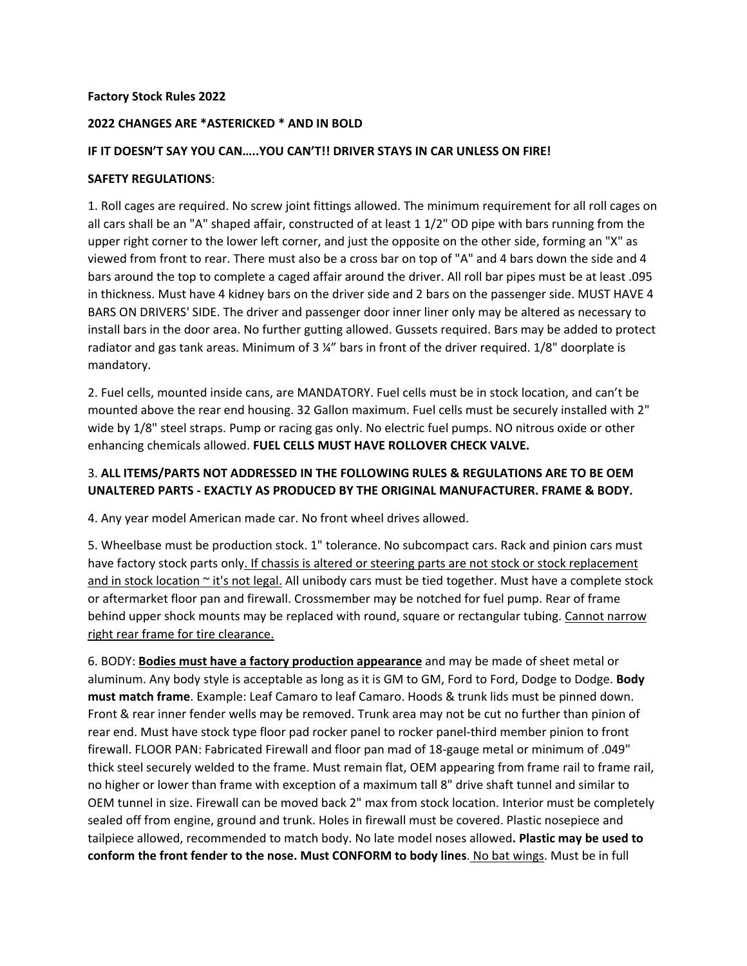#### **Factory Stock Rules 2022**

#### **2022 CHANGES ARE \*ASTERICKED \* AND IN BOLD**

#### **IF IT DOESN'T SAY YOU CAN…..YOU CAN'T!! DRIVER STAYS IN CAR UNLESS ON FIRE!**

#### **SAFETY REGULATIONS**:

1. Roll cages are required. No screw joint fittings allowed. The minimum requirement for all roll cages on all cars shall be an "A" shaped affair, constructed of at least 1 1/2" OD pipe with bars running from the upper right corner to the lower left corner, and just the opposite on the other side, forming an "X" as viewed from front to rear. There must also be a cross bar on top of "A" and 4 bars down the side and 4 bars around the top to complete a caged affair around the driver. All roll bar pipes must be at least .095 in thickness. Must have 4 kidney bars on the driver side and 2 bars on the passenger side. MUST HAVE 4 BARS ON DRIVERS' SIDE. The driver and passenger door inner liner only may be altered as necessary to install bars in the door area. No further gutting allowed. Gussets required. Bars may be added to protect radiator and gas tank areas. Minimum of 3 ¼" bars in front of the driver required. 1/8" doorplate is mandatory.

2. Fuel cells, mounted inside cans, are MANDATORY. Fuel cells must be in stock location, and can't be mounted above the rear end housing. 32 Gallon maximum. Fuel cells must be securely installed with 2" wide by 1/8" steel straps. Pump or racing gas only. No electric fuel pumps. NO nitrous oxide or other enhancing chemicals allowed. **FUEL CELLS MUST HAVE ROLLOVER CHECK VALVE.**

## 3. **ALL ITEMS/PARTS NOT ADDRESSED IN THE FOLLOWING RULES & REGULATIONS ARE TO BE OEM UNALTERED PARTS ‐ EXACTLY AS PRODUCED BY THE ORIGINAL MANUFACTURER. FRAME & BODY.**

4. Any year model American made car. No front wheel drives allowed.

5. Wheelbase must be production stock. 1" tolerance. No subcompact cars. Rack and pinion cars must have factory stock parts only. If chassis is altered or steering parts are not stock or stock replacement and in stock location ~ it's not legal. All unibody cars must be tied together. Must have a complete stock or aftermarket floor pan and firewall. Crossmember may be notched for fuel pump. Rear of frame behind upper shock mounts may be replaced with round, square or rectangular tubing. Cannot narrow right rear frame for tire clearance.

6. BODY: **Bodies must have a factory production appearance** and may be made of sheet metal or aluminum. Any body style is acceptable as long as it is GM to GM, Ford to Ford, Dodge to Dodge. **Body must match frame**. Example: Leaf Camaro to leaf Camaro. Hoods & trunk lids must be pinned down. Front & rear inner fender wells may be removed. Trunk area may not be cut no further than pinion of rear end. Must have stock type floor pad rocker panel to rocker panel‐third member pinion to front firewall. FLOOR PAN: Fabricated Firewall and floor pan mad of 18‐gauge metal or minimum of .049" thick steel securely welded to the frame. Must remain flat, OEM appearing from frame rail to frame rail, no higher or lower than frame with exception of a maximum tall 8" drive shaft tunnel and similar to OEM tunnel in size. Firewall can be moved back 2" max from stock location. Interior must be completely sealed off from engine, ground and trunk. Holes in firewall must be covered. Plastic nosepiece and tailpiece allowed, recommended to match body. No late model noses allowed**. Plastic may be used to conform the front fender to the nose. Must CONFORM to body lines**. No bat wings. Must be in full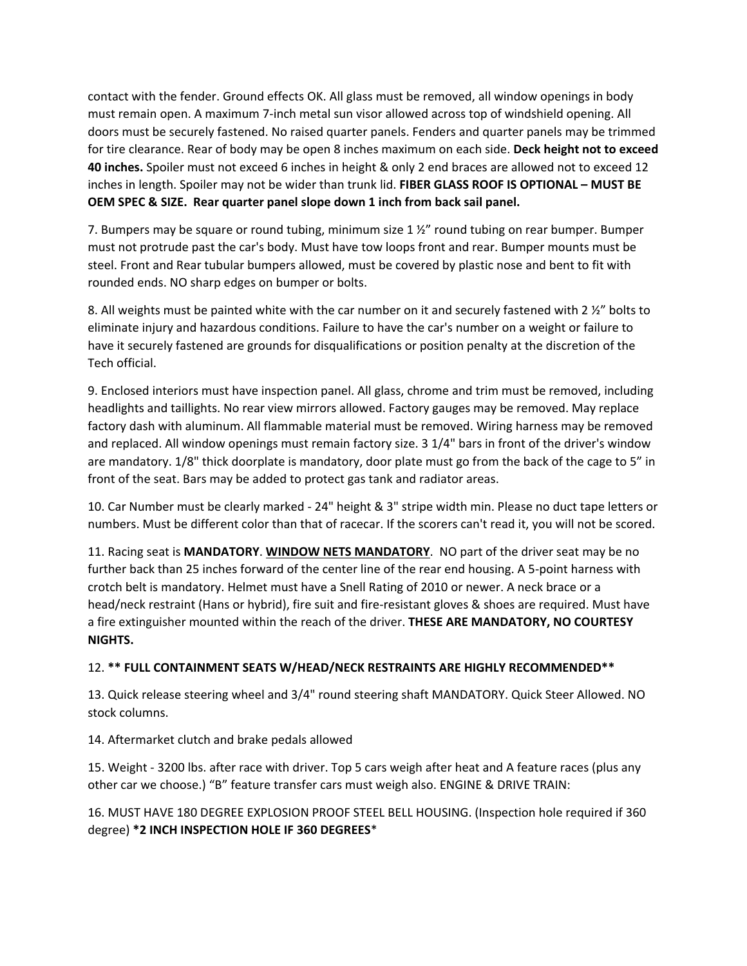contact with the fender. Ground effects OK. All glass must be removed, all window openings in body must remain open. A maximum 7‐inch metal sun visor allowed across top of windshield opening. All doors must be securely fastened. No raised quarter panels. Fenders and quarter panels may be trimmed for tire clearance. Rear of body may be open 8 inches maximum on each side. **Deck height not to exceed 40 inches.** Spoiler must not exceed 6 inches in height & only 2 end braces are allowed not to exceed 12 inches in length. Spoiler may not be wider than trunk lid. **FIBER GLASS ROOF IS OPTIONAL – MUST BE OEM SPEC & SIZE. Rear quarter panel slope down 1 inch from back sail panel.**

7. Bumpers may be square or round tubing, minimum size 1 ½" round tubing on rear bumper. Bumper must not protrude past the car's body. Must have tow loops front and rear. Bumper mounts must be steel. Front and Rear tubular bumpers allowed, must be covered by plastic nose and bent to fit with rounded ends. NO sharp edges on bumper or bolts.

8. All weights must be painted white with the car number on it and securely fastened with 2  $\frac{1}{2}$  bolts to eliminate injury and hazardous conditions. Failure to have the car's number on a weight or failure to have it securely fastened are grounds for disqualifications or position penalty at the discretion of the Tech official.

9. Enclosed interiors must have inspection panel. All glass, chrome and trim must be removed, including headlights and taillights. No rear view mirrors allowed. Factory gauges may be removed. May replace factory dash with aluminum. All flammable material must be removed. Wiring harness may be removed and replaced. All window openings must remain factory size. 3 1/4" bars in front of the driver's window are mandatory. 1/8" thick doorplate is mandatory, door plate must go from the back of the cage to 5" in front of the seat. Bars may be added to protect gas tank and radiator areas.

10. Car Number must be clearly marked ‐ 24" height & 3" stripe width min. Please no duct tape letters or numbers. Must be different color than that of racecar. If the scorers can't read it, you will not be scored.

11. Racing seat is **MANDATORY**. **WINDOW NETS MANDATORY**. NO part of the driver seat may be no further back than 25 inches forward of the center line of the rear end housing. A 5‐point harness with crotch belt is mandatory. Helmet must have a Snell Rating of 2010 or newer. A neck brace or a head/neck restraint (Hans or hybrid), fire suit and fire-resistant gloves & shoes are required. Must have a fire extinguisher mounted within the reach of the driver. **THESE ARE MANDATORY, NO COURTESY NIGHTS.**

# 12. **\*\* FULL CONTAINMENT SEATS W/HEAD/NECK RESTRAINTS ARE HIGHLY RECOMMENDED\*\***

13. Quick release steering wheel and 3/4" round steering shaft MANDATORY. Quick Steer Allowed. NO stock columns.

14. Aftermarket clutch and brake pedals allowed

15. Weight ‐ 3200 lbs. after race with driver. Top 5 cars weigh after heat and A feature races (plus any other car we choose.) "B" feature transfer cars must weigh also. ENGINE & DRIVE TRAIN:

16. MUST HAVE 180 DEGREE EXPLOSION PROOF STEEL BELL HOUSING. (Inspection hole required if 360 degree) **\*2 INCH INSPECTION HOLE IF 360 DEGREES**\*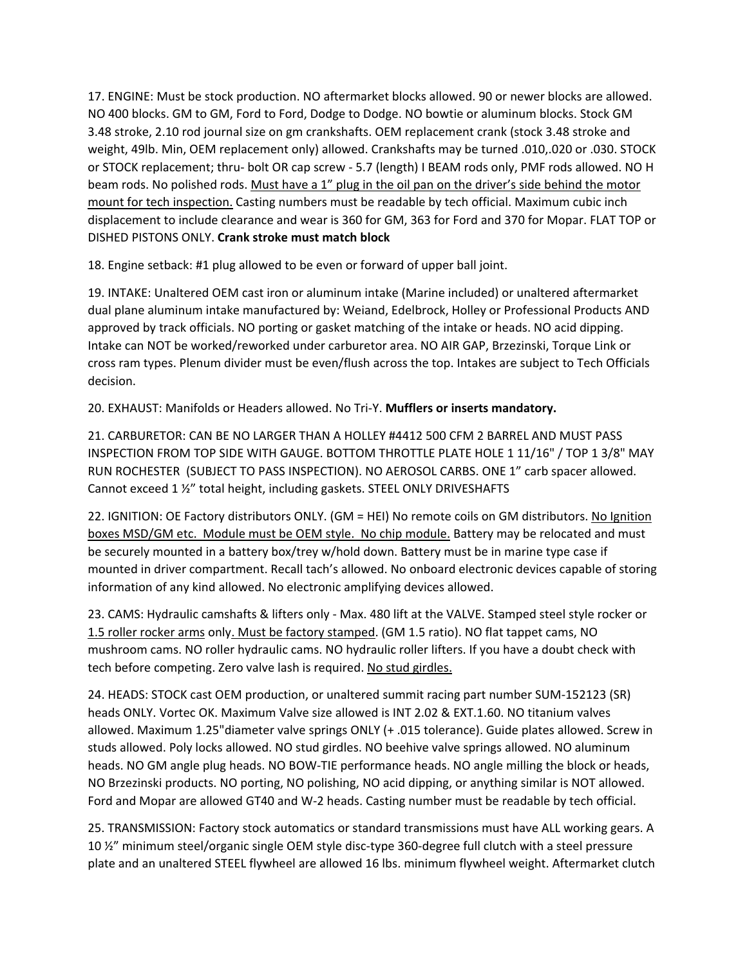17. ENGINE: Must be stock production. NO aftermarket blocks allowed. 90 or newer blocks are allowed. NO 400 blocks. GM to GM, Ford to Ford, Dodge to Dodge. NO bowtie or aluminum blocks. Stock GM 3.48 stroke, 2.10 rod journal size on gm crankshafts. OEM replacement crank (stock 3.48 stroke and weight, 49lb. Min, OEM replacement only) allowed. Crankshafts may be turned .010,.020 or .030. STOCK or STOCK replacement; thru- bolt OR cap screw - 5.7 (length) I BEAM rods only, PMF rods allowed. NO H beam rods. No polished rods. Must have a 1" plug in the oil pan on the driver's side behind the motor mount for tech inspection. Casting numbers must be readable by tech official. Maximum cubic inch displacement to include clearance and wear is 360 for GM, 363 for Ford and 370 for Mopar. FLAT TOP or DISHED PISTONS ONLY. **Crank stroke must match block**

18. Engine setback: #1 plug allowed to be even or forward of upper ball joint.

19. INTAKE: Unaltered OEM cast iron or aluminum intake (Marine included) or unaltered aftermarket dual plane aluminum intake manufactured by: Weiand, Edelbrock, Holley or Professional Products AND approved by track officials. NO porting or gasket matching of the intake or heads. NO acid dipping. Intake can NOT be worked/reworked under carburetor area. NO AIR GAP, Brzezinski, Torque Link or cross ram types. Plenum divider must be even/flush across the top. Intakes are subject to Tech Officials decision.

20. EXHAUST: Manifolds or Headers allowed. No Tri‐Y. **Mufflers or inserts mandatory.**

21. CARBURETOR: CAN BE NO LARGER THAN A HOLLEY #4412 500 CFM 2 BARREL AND MUST PASS INSPECTION FROM TOP SIDE WITH GAUGE. BOTTOM THROTTLE PLATE HOLE 1 11/16" / TOP 1 3/8" MAY RUN ROCHESTER (SUBJECT TO PASS INSPECTION). NO AEROSOL CARBS. ONE 1" carb spacer allowed. Cannot exceed 1 ½" total height, including gaskets. STEEL ONLY DRIVESHAFTS

22. IGNITION: OE Factory distributors ONLY. (GM = HEI) No remote coils on GM distributors. No Ignition boxes MSD/GM etc. Module must be OEM style. No chip module. Battery may be relocated and must be securely mounted in a battery box/trey w/hold down. Battery must be in marine type case if mounted in driver compartment. Recall tach's allowed. No onboard electronic devices capable of storing information of any kind allowed. No electronic amplifying devices allowed.

23. CAMS: Hydraulic camshafts & lifters only ‐ Max. 480 lift at the VALVE. Stamped steel style rocker or 1.5 roller rocker arms only. Must be factory stamped. (GM 1.5 ratio). NO flat tappet cams, NO mushroom cams. NO roller hydraulic cams. NO hydraulic roller lifters. If you have a doubt check with tech before competing. Zero valve lash is required. No stud girdles.

24. HEADS: STOCK cast OEM production, or unaltered summit racing part number SUM‐152123 (SR) heads ONLY. Vortec OK. Maximum Valve size allowed is INT 2.02 & EXT.1.60. NO titanium valves allowed. Maximum 1.25"diameter valve springs ONLY (+ .015 tolerance). Guide plates allowed. Screw in studs allowed. Poly locks allowed. NO stud girdles. NO beehive valve springs allowed. NO aluminum heads. NO GM angle plug heads. NO BOW‐TIE performance heads. NO angle milling the block or heads, NO Brzezinski products. NO porting, NO polishing, NO acid dipping, or anything similar is NOT allowed. Ford and Mopar are allowed GT40 and W‐2 heads. Casting number must be readable by tech official.

25. TRANSMISSION: Factory stock automatics or standard transmissions must have ALL working gears. A 10 %" minimum steel/organic single OEM style disc-type 360-degree full clutch with a steel pressure plate and an unaltered STEEL flywheel are allowed 16 lbs. minimum flywheel weight. Aftermarket clutch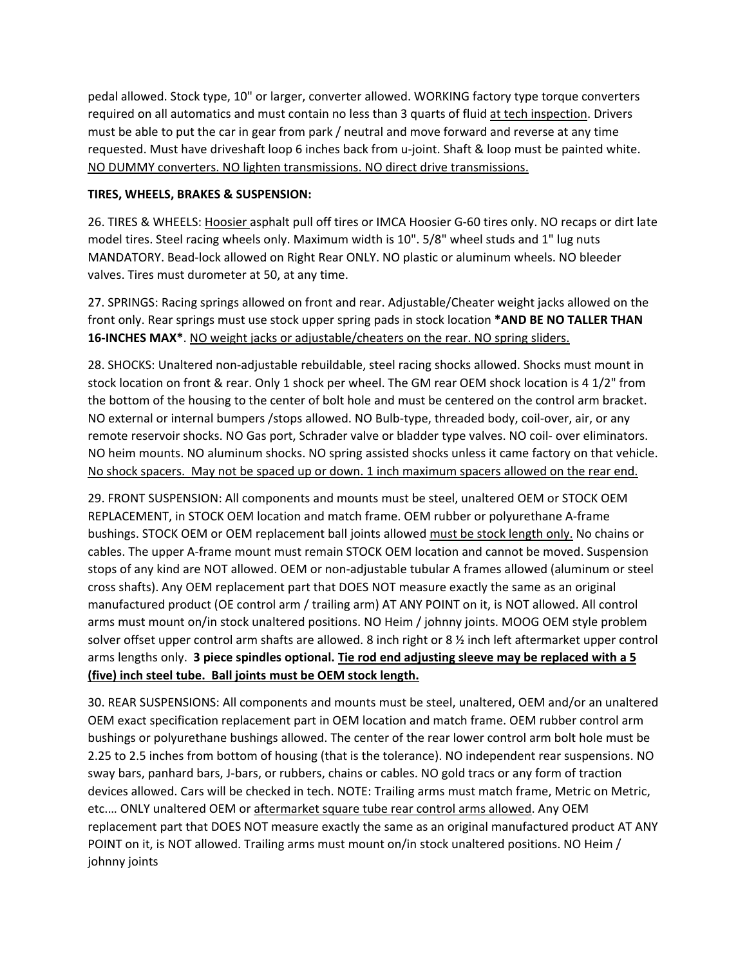pedal allowed. Stock type, 10" or larger, converter allowed. WORKING factory type torque converters required on all automatics and must contain no less than 3 quarts of fluid at tech inspection. Drivers must be able to put the car in gear from park / neutral and move forward and reverse at any time requested. Must have driveshaft loop 6 inches back from u‐joint. Shaft & loop must be painted white. NO DUMMY converters. NO lighten transmissions. NO direct drive transmissions.

## **TIRES, WHEELS, BRAKES & SUSPENSION:**

26. TIRES & WHEELS: Hoosier asphalt pull off tires or IMCA Hoosier G‐60 tires only. NO recaps or dirt late model tires. Steel racing wheels only. Maximum width is 10". 5/8" wheel studs and 1" lug nuts MANDATORY. Bead‐lock allowed on Right Rear ONLY. NO plastic or aluminum wheels. NO bleeder valves. Tires must durometer at 50, at any time.

27. SPRINGS: Racing springs allowed on front and rear. Adjustable/Cheater weight jacks allowed on the front only. Rear springs must use stock upper spring pads in stock location **\*AND BE NO TALLER THAN 16‐INCHES MAX\***. NO weight jacks or adjustable/cheaters on the rear. NO spring sliders.

28. SHOCKS: Unaltered non‐adjustable rebuildable, steel racing shocks allowed. Shocks must mount in stock location on front & rear. Only 1 shock per wheel. The GM rear OEM shock location is 4 1/2" from the bottom of the housing to the center of bolt hole and must be centered on the control arm bracket. NO external or internal bumpers /stops allowed. NO Bulb‐type, threaded body, coil‐over, air, or any remote reservoir shocks. NO Gas port, Schrader valve or bladder type valves. NO coil- over eliminators. NO heim mounts. NO aluminum shocks. NO spring assisted shocks unless it came factory on that vehicle. No shock spacers. May not be spaced up or down. 1 inch maximum spacers allowed on the rear end.

29. FRONT SUSPENSION: All components and mounts must be steel, unaltered OEM or STOCK OEM REPLACEMENT, in STOCK OEM location and match frame. OEM rubber or polyurethane A‐frame bushings. STOCK OEM or OEM replacement ball joints allowed must be stock length only. No chains or cables. The upper A‐frame mount must remain STOCK OEM location and cannot be moved. Suspension stops of any kind are NOT allowed. OEM or non‐adjustable tubular A frames allowed (aluminum or steel cross shafts). Any OEM replacement part that DOES NOT measure exactly the same as an original manufactured product (OE control arm / trailing arm) AT ANY POINT on it, is NOT allowed. All control arms must mount on/in stock unaltered positions. NO Heim / johnny joints. MOOG OEM style problem solver offset upper control arm shafts are allowed. 8 inch right or 8 ½ inch left aftermarket upper control arms lengths only. **3 piece spindles optional. Tie rod end adjusting sleeve may be replaced with a 5 (five) inch steel tube. Ball joints must be OEM stock length.**

30. REAR SUSPENSIONS: All components and mounts must be steel, unaltered, OEM and/or an unaltered OEM exact specification replacement part in OEM location and match frame. OEM rubber control arm bushings or polyurethane bushings allowed. The center of the rear lower control arm bolt hole must be 2.25 to 2.5 inches from bottom of housing (that is the tolerance). NO independent rear suspensions. NO sway bars, panhard bars, J‐bars, or rubbers, chains or cables. NO gold tracs or any form of traction devices allowed. Cars will be checked in tech. NOTE: Trailing arms must match frame, Metric on Metric, etc.… ONLY unaltered OEM or aftermarket square tube rear control arms allowed. Any OEM replacement part that DOES NOT measure exactly the same as an original manufactured product AT ANY POINT on it, is NOT allowed. Trailing arms must mount on/in stock unaltered positions. NO Heim / johnny joints